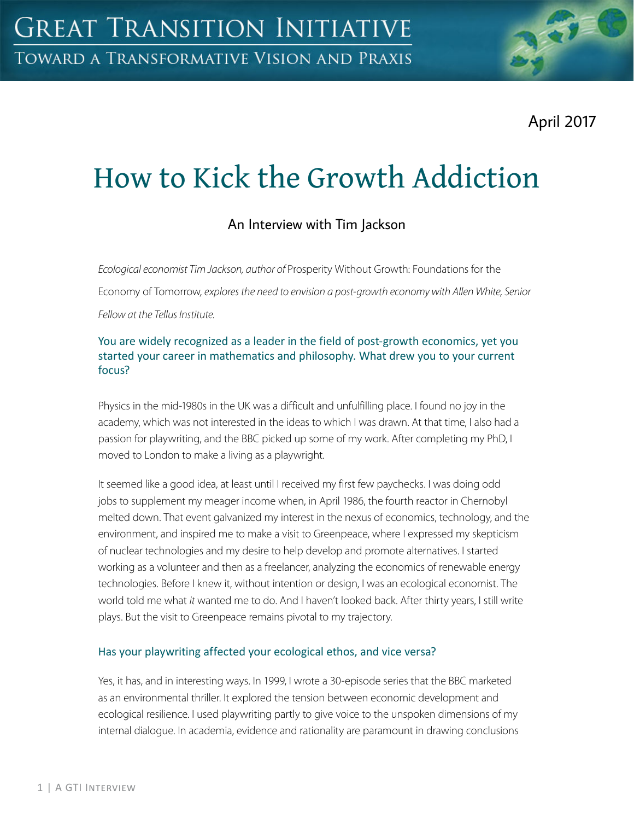April 2017

# How to Kick the Growth Addiction

# An Interview with Tim Jackson

*Ecological economist Tim Jackson, author of* Prosperity Without Growth: Foundations for the

Economy of Tomorrow*, explores the need to envision a post-growth economy with Allen White, Senior Fellow at the Tellus Institute.* 

## You are widely recognized as a leader in the field of post-growth economics, yet you started your career in mathematics and philosophy. What drew you to your current focus?

Physics in the mid-1980s in the UK was a difficult and unfulfilling place. I found no joy in the academy, which was not interested in the ideas to which I was drawn. At that time, I also had a passion for playwriting, and the BBC picked up some of my work. After completing my PhD, I moved to London to make a living as a playwright.

It seemed like a good idea, at least until I received my first few paychecks. I was doing odd jobs to supplement my meager income when, in April 1986, the fourth reactor in Chernobyl melted down. That event galvanized my interest in the nexus of economics, technology, and the environment, and inspired me to make a visit to Greenpeace, where I expressed my skepticism of nuclear technologies and my desire to help develop and promote alternatives. I started working as a volunteer and then as a freelancer, analyzing the economics of renewable energy technologies. Before I knew it, without intention or design, I was an ecological economist. The world told me what *it* wanted me to do. And I haven't looked back. After thirty years, I still write plays. But the visit to Greenpeace remains pivotal to my trajectory.

#### Has your playwriting affected your ecological ethos, and vice versa?

Yes, it has, and in interesting ways. In 1999, I wrote a 30-episode series that the BBC marketed as an environmental thriller. It explored the tension between economic development and ecological resilience. I used playwriting partly to give voice to the unspoken dimensions of my internal dialogue. In academia, evidence and rationality are paramount in drawing conclusions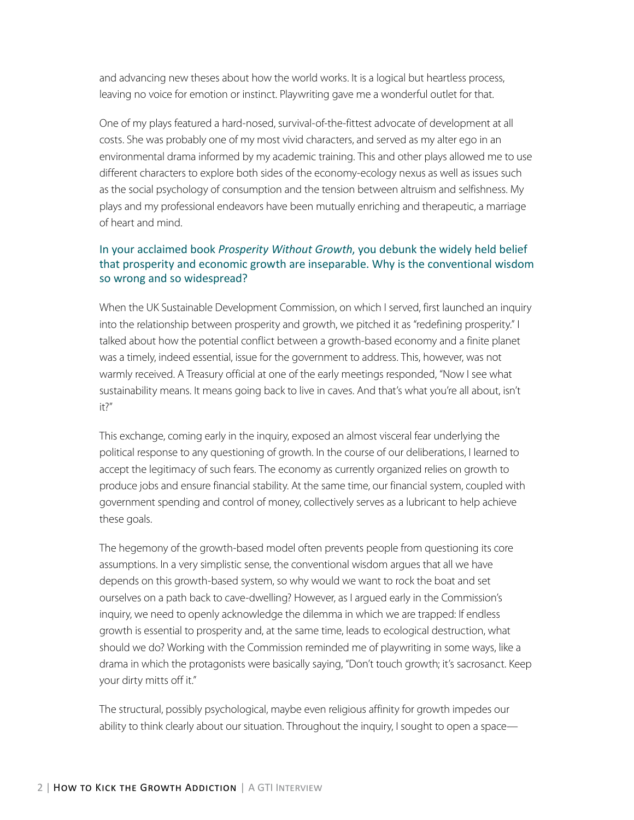and advancing new theses about how the world works. It is a logical but heartless process, leaving no voice for emotion or instinct. Playwriting gave me a wonderful outlet for that.

One of my plays featured a hard-nosed, survival-of-the-fittest advocate of development at all costs. She was probably one of my most vivid characters, and served as my alter ego in an environmental drama informed by my academic training. This and other plays allowed me to use different characters to explore both sides of the economy-ecology nexus as well as issues such as the social psychology of consumption and the tension between altruism and selfishness. My plays and my professional endeavors have been mutually enriching and therapeutic, a marriage of heart and mind.

#### In your acclaimed book *Prosperity Without Growth*, you debunk the widely held belief that prosperity and economic growth are inseparable. Why is the conventional wisdom so wrong and so widespread?

When the UK Sustainable Development Commission, on which I served, first launched an inquiry into the relationship between prosperity and growth, we pitched it as "redefining prosperity." I talked about how the potential conflict between a growth-based economy and a finite planet was a timely, indeed essential, issue for the government to address. This, however, was not warmly received. A Treasury official at one of the early meetings responded, "Now I see what sustainability means. It means going back to live in caves. And that's what you're all about, isn't it?"

This exchange, coming early in the inquiry, exposed an almost visceral fear underlying the political response to any questioning of growth. In the course of our deliberations, I learned to accept the legitimacy of such fears. The economy as currently organized relies on growth to produce jobs and ensure financial stability. At the same time, our financial system, coupled with government spending and control of money, collectively serves as a lubricant to help achieve these goals.

The hegemony of the growth-based model often prevents people from questioning its core assumptions. In a very simplistic sense, the conventional wisdom argues that all we have depends on this growth-based system, so why would we want to rock the boat and set ourselves on a path back to cave-dwelling? However, as I argued early in the Commission's inquiry, we need to openly acknowledge the dilemma in which we are trapped: If endless growth is essential to prosperity and, at the same time, leads to ecological destruction, what should we do? Working with the Commission reminded me of playwriting in some ways, like a drama in which the protagonists were basically saying, "Don't touch growth; it's sacrosanct. Keep your dirty mitts off it."

The structural, possibly psychological, maybe even religious affinity for growth impedes our ability to think clearly about our situation. Throughout the inquiry, I sought to open a space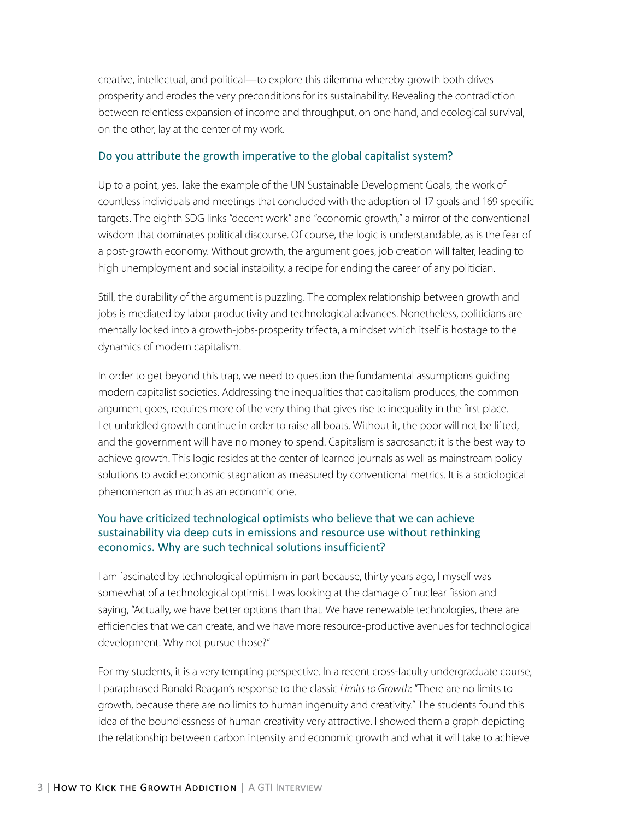creative, intellectual, and political—to explore this dilemma whereby growth both drives prosperity and erodes the very preconditions for its sustainability. Revealing the contradiction between relentless expansion of income and throughput, on one hand, and ecological survival, on the other, lay at the center of my work.

#### Do you attribute the growth imperative to the global capitalist system?

Up to a point, yes. Take the example of the UN Sustainable Development Goals, the work of countless individuals and meetings that concluded with the adoption of 17 goals and 169 specific targets. The eighth SDG links "decent work" and "economic growth," a mirror of the conventional wisdom that dominates political discourse. Of course, the logic is understandable, as is the fear of a post-growth economy. Without growth, the argument goes, job creation will falter, leading to high unemployment and social instability, a recipe for ending the career of any politician.

Still, the durability of the argument is puzzling. The complex relationship between growth and jobs is mediated by labor productivity and technological advances. Nonetheless, politicians are mentally locked into a growth-jobs-prosperity trifecta, a mindset which itself is hostage to the dynamics of modern capitalism.

In order to get beyond this trap, we need to question the fundamental assumptions guiding modern capitalist societies. Addressing the inequalities that capitalism produces, the common argument goes, requires more of the very thing that gives rise to inequality in the first place. Let unbridled growth continue in order to raise all boats. Without it, the poor will not be lifted, and the government will have no money to spend. Capitalism is sacrosanct; it is the best way to achieve growth. This logic resides at the center of learned journals as well as mainstream policy solutions to avoid economic stagnation as measured by conventional metrics. It is a sociological phenomenon as much as an economic one.

#### You have criticized technological optimists who believe that we can achieve sustainability via deep cuts in emissions and resource use without rethinking economics. Why are such technical solutions insufficient?

I am fascinated by technological optimism in part because, thirty years ago, I myself was somewhat of a technological optimist. I was looking at the damage of nuclear fission and saying, "Actually, we have better options than that. We have renewable technologies, there are efficiencies that we can create, and we have more resource-productive avenues for technological development. Why not pursue those?"

For my students, it is a very tempting perspective. In a recent cross-faculty undergraduate course, I paraphrased Ronald Reagan's response to the classic *Limits to Growth*: "There are no limits to growth, because there are no limits to human ingenuity and creativity." The students found this idea of the boundlessness of human creativity very attractive. I showed them a graph depicting the relationship between carbon intensity and economic growth and what it will take to achieve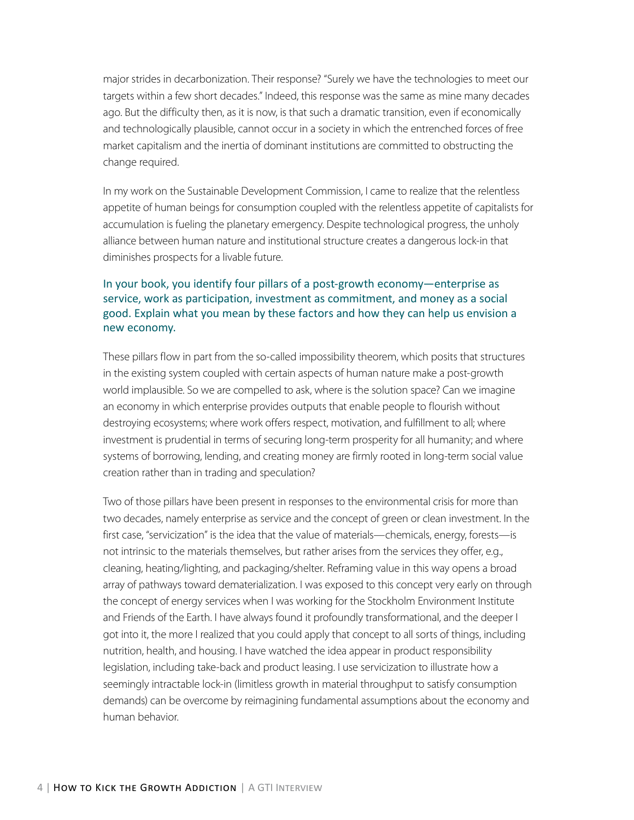major strides in decarbonization. Their response? "Surely we have the technologies to meet our targets within a few short decades." Indeed, this response was the same as mine many decades ago. But the difficulty then, as it is now, is that such a dramatic transition, even if economically and technologically plausible, cannot occur in a society in which the entrenched forces of free market capitalism and the inertia of dominant institutions are committed to obstructing the change required.

In my work on the Sustainable Development Commission, I came to realize that the relentless appetite of human beings for consumption coupled with the relentless appetite of capitalists for accumulation is fueling the planetary emergency. Despite technological progress, the unholy alliance between human nature and institutional structure creates a dangerous lock-in that diminishes prospects for a livable future.

## In your book, you identify four pillars of a post-growth economy—enterprise as service, work as participation, investment as commitment, and money as a social good. Explain what you mean by these factors and how they can help us envision a new economy.

These pillars flow in part from the so-called impossibility theorem, which posits that structures in the existing system coupled with certain aspects of human nature make a post-growth world implausible. So we are compelled to ask, where is the solution space? Can we imagine an economy in which enterprise provides outputs that enable people to flourish without destroying ecosystems; where work offers respect, motivation, and fulfillment to all; where investment is prudential in terms of securing long-term prosperity for all humanity; and where systems of borrowing, lending, and creating money are firmly rooted in long-term social value creation rather than in trading and speculation?

Two of those pillars have been present in responses to the environmental crisis for more than two decades, namely enterprise as service and the concept of green or clean investment. In the first case, "servicization" is the idea that the value of materials—chemicals, energy, forests—is not intrinsic to the materials themselves, but rather arises from the services they offer, e.g., cleaning, heating/lighting, and packaging/shelter. Reframing value in this way opens a broad array of pathways toward dematerialization. I was exposed to this concept very early on through the concept of energy services when I was working for the Stockholm Environment Institute and Friends of the Earth. I have always found it profoundly transformational, and the deeper I got into it, the more I realized that you could apply that concept to all sorts of things, including nutrition, health, and housing. I have watched the idea appear in product responsibility legislation, including take-back and product leasing. I use servicization to illustrate how a seemingly intractable lock-in (limitless growth in material throughput to satisfy consumption demands) can be overcome by reimagining fundamental assumptions about the economy and human behavior.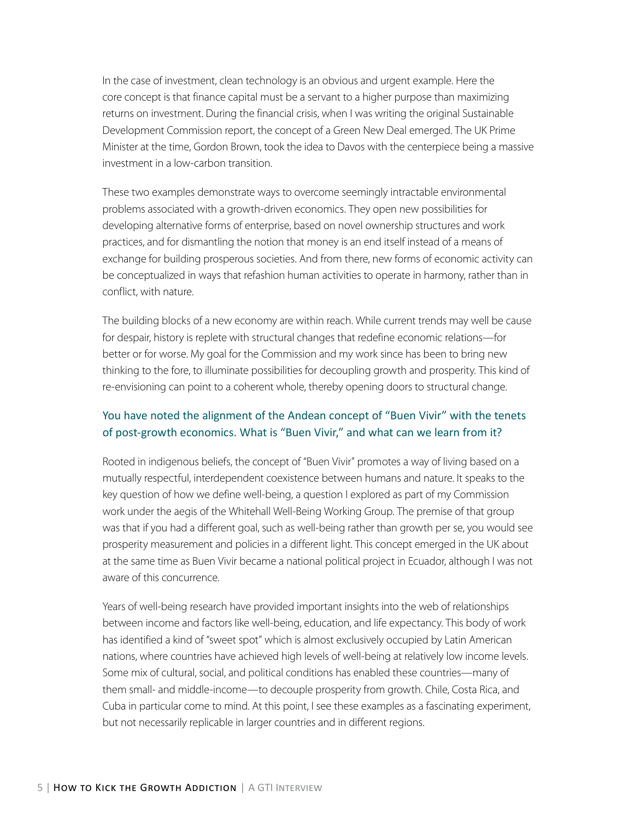In the case of investment, clean technology is an obvious and urgent example. Here the core concept is that finance capital must be a servant to a higher purpose than maximizing returns on investment. During the financial crisis, when I was writing the original Sustainable Development Commission report, the concept of a Green New Deal emerged. The UK Prime Minister at the time, Gordon Brown, took the idea to Davos with the centerpiece being a massive investment in a low-carbon transition.

These two examples demonstrate ways to overcome seemingly intractable environmental problems associated with a growth-driven economics. They open new possibilities for developing alternative forms of enterprise, based on novel ownership structures and work practices, and for dismantling the notion that money is an end itself instead of a means of exchange for building prosperous societies. And from there, new forms of economic activity can be conceptualized in ways that refashion human activities to operate in harmony, rather than in conflict, with nature.

The building blocks of a new economy are within reach. While current trends may well be cause for despair, history is replete with structural changes that redefine economic relations—for better or for worse. My goal for the Commission and my work since has been to bring new thinking to the fore, to illuminate possibilities for decoupling growth and prosperity. This kind of re-envisioning can point to a coherent whole, thereby opening doors to structural change.

## You have noted the alignment of the Andean concept of "Buen Vivir" with the tenets of post-growth economics. What is "Buen Vivir," and what can we learn from it?

Rooted in indigenous beliefs, the concept of "Buen Vivir" promotes a way of living based on a mutually respectful, interdependent coexistence between humans and nature. It speaks to the key question of how we define well-being, a question I explored as part of my Commission work under the aegis of the Whitehall Well-Being Working Group. The premise of that group was that if you had a different goal, such as well-being rather than growth per se, you would see prosperity measurement and policies in a different light. This concept emerged in the UK about at the same time as Buen Vivir became a national political project in Ecuador, although I was not aware of this concurrence.

Years of well-being research have provided important insights into the web of relationships between income and factors like well-being, education, and life expectancy. This body of work has identified a kind of "sweet spot" which is almost exclusively occupied by Latin American nations, where countries have achieved high levels of well-being at relatively low income levels. Some mix of cultural, social, and political conditions has enabled these countries—many of them small- and middle-income—to decouple prosperity from growth. Chile, Costa Rica, and Cuba in particular come to mind. At this point, I see these examples as a fascinating experiment, but not necessarily replicable in larger countries and in different regions.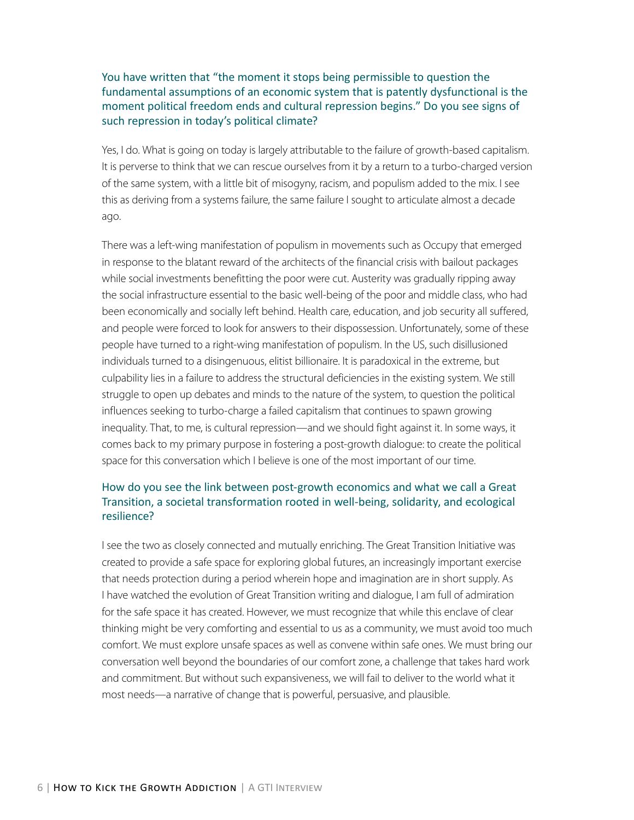You have written that "the moment it stops being permissible to question the fundamental assumptions of an economic system that is patently dysfunctional is the moment political freedom ends and cultural repression begins." Do you see signs of such repression in today's political climate?

Yes, I do. What is going on today is largely attributable to the failure of growth-based capitalism. It is perverse to think that we can rescue ourselves from it by a return to a turbo-charged version of the same system, with a little bit of misogyny, racism, and populism added to the mix. I see this as deriving from a systems failure, the same failure I sought to articulate almost a decade ago.

There was a left-wing manifestation of populism in movements such as Occupy that emerged in response to the blatant reward of the architects of the financial crisis with bailout packages while social investments benefitting the poor were cut. Austerity was gradually ripping away the social infrastructure essential to the basic well-being of the poor and middle class, who had been economically and socially left behind. Health care, education, and job security all suffered, and people were forced to look for answers to their dispossession. Unfortunately, some of these people have turned to a right-wing manifestation of populism. In the US, such disillusioned individuals turned to a disingenuous, elitist billionaire. It is paradoxical in the extreme, but culpability lies in a failure to address the structural deficiencies in the existing system. We still struggle to open up debates and minds to the nature of the system, to question the political influences seeking to turbo-charge a failed capitalism that continues to spawn growing inequality. That, to me, is cultural repression—and we should fight against it. In some ways, it comes back to my primary purpose in fostering a post-growth dialogue: to create the political space for this conversation which I believe is one of the most important of our time.

#### How do you see the link between post-growth economics and what we call a Great Transition, a societal transformation rooted in well-being, solidarity, and ecological resilience?

I see the two as closely connected and mutually enriching. The Great Transition Initiative was created to provide a safe space for exploring global futures, an increasingly important exercise that needs protection during a period wherein hope and imagination are in short supply. As I have watched the evolution of Great Transition writing and dialogue, I am full of admiration for the safe space it has created. However, we must recognize that while this enclave of clear thinking might be very comforting and essential to us as a community, we must avoid too much comfort. We must explore unsafe spaces as well as convene within safe ones. We must bring our conversation well beyond the boundaries of our comfort zone, a challenge that takes hard work and commitment. But without such expansiveness, we will fail to deliver to the world what it most needs—a narrative of change that is powerful, persuasive, and plausible.